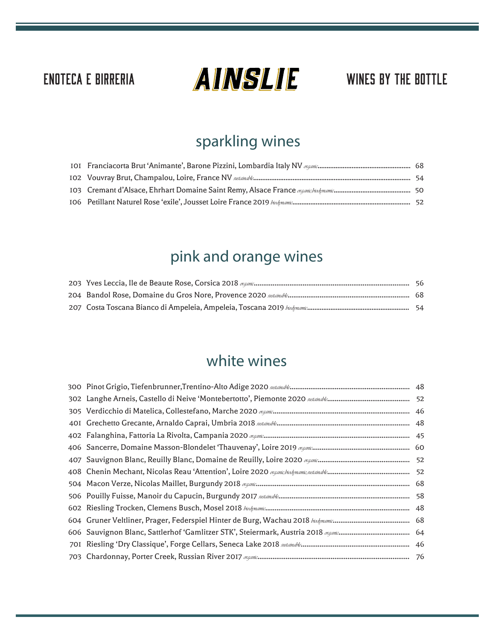# ENOTECA E BIRRERIA  $\Box$   $\Box$   $\Box$   $\Box$   $\Box$  wines by the bottle

# sparkling wines

# pink and orange wines

### white wines